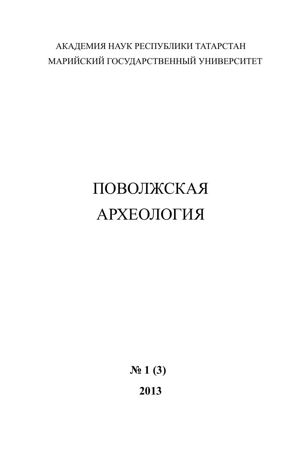# АКАДЕМИЯ НАУК РЕСПУБЛИКИ ТАТАРСТАН МАРИЙСКИЙ ГОСУДАРСТВЕННЫЙ УНИВЕРСИТЕТ

# ПОВОЛЖСКАЯ АРХЕОЛОГИЯ

**№ 1 (3) 2013**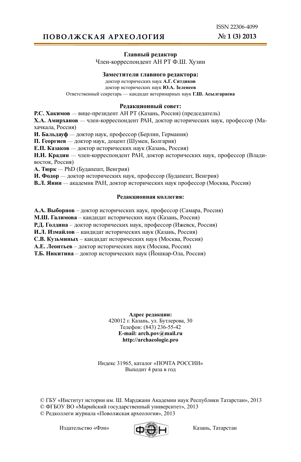ISSN 22306-4099 **№ 1 (3) 2013**

# **ПОВОЛЖСКАЯ АРХЕОЛОГИЯ**

## **Главный редактор**

Член-корреспондент АН РТ Ф.Ш. Хузин

## **Заместители главного редактора:**

доктор исторических наук **А.Г. Ситдиков** доктор исторических наук **Ю.А. Зеленеев** Ответственный секретарь — кандидат ветеринарных наук **Г.Ш. Асылгараева**

## **Редакционный совет:**

**Р.С. Хакимов** — вице-президент АН РТ (Казань, Россия) (председатель)

**Х.А. Амирханов** — член-корреспондент РАН, доктор исторических наук, профессор (Махачкала, Россия)

**И. Бальдауф** — доктор наук, профессор (Берлин, Германия)

**П. Георгиев** — доктор наук, доцент (Шумен, Болгария)

**Е.П. Казаков** — доктор исторических наук (Казань, Россия)

**Н.Н. Крадин** — член-корреспондент РАН, доктор исторических наук, профессор (Владивосток, Россия)

**А. Тюрк** — PhD (Будапешт, Венгрия)

**И. Фодор** — доктор исторических наук, профессор (Будапешт, Венгрия)

**В.Л. Янин** — академик РАН, доктор исторических наук профессор (Москва, Россия)

## **Редакционная коллегия:**

**А.А. Выборнов** – доктор исторических наук, профессор (Самара, Россия)

**М.Ш. Галимова** – кандидат исторических наук (Казань, Россия)

**Р.Д. Голдина** – доктор исторических наук, профессор (Ижевск, Россия)

**И.Л. Измайлов** – кандидат исторических наук (Казань, Россия)

**С.В. Кузьминых** – кандидат исторических наук (Москва, Россия)

**А.Е. Леонтьев** – доктор исторических наук (Москва, Россия)

**Т.Б. Никитина** – доктор исторических наук (Йошкар-Ола, Россия)

**Адрес редакции:** 420012 г. Казань, ул. Бутлерова, 30 Телефон: (843) 236-55-42 **E-mail: arch.pov@mail.ru http://archaeologie.pro**

Индекс 31965, каталог «ПОЧТА РОССИИ» Выходит 4 раза в год

© ГБУ «Институт истории им. Ш. Марджани Академии наук Республики Татарстан», 2013 © ФГБОУ ВО «Марийский государственный университет», 2013 © Редколлеги журнала «Поволжская археология», 2013

Издательство «Фән» **Геренов (Геренов Казань**, Татарстан

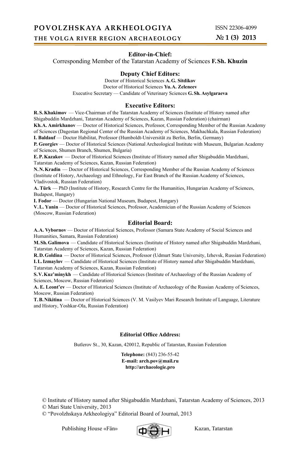## **Editor-in-Chief:**

Corresponding Member of the Tatarstan Academy of Sciences **F. Sh. Khuzin**

## **Deputy Chief Editors:**

Doctor of Historical Sciences **A. G. Sitdikov** Doctor of Historical Sciences **Yu. A. Zeleneev** Executive Secretary — Candidate of Veterinary Sciences **G. Sh. Asylgaraeva**

#### **Executive Editors:**

**R. S. Khakimov** — Vice-Chairman of the Tatarstan Academy of Sciences (Institute of History named after Shigabuddin Mardzhani, Tatarstan Academy of Sciences, Kazan, Russian Federation) (chairman) **Kh. A. Amirkhanov** — Doctor of Historical Sciences, Professor, Corresponding Member of the Russian Academy of Sciences (Dagestan Regional Center of the Russian Academy of Sciences, Makhachkala, Russian Federation) **I. Baldauf** — Doctor Habilitat, Professor (Humboldt-Universität zu Berlin, Berlin, Germany) **P. Georgiev** — Doctor of Historical Sciences (National Archeological Institute with Museum, Bulgarian Academy of Sciences, Shumen Branch, Shumen, Bulgaria)

**E. P. Kazakov** — Doctor of Historical Sciences (Institute of History named after Shigabuddin Mardzhani, Tatarstan Academy of Sciences, Kazan, Russian Federation)

**N. N. Kradin** — Doctor of Historical Sciences, Corresponding Member of the Russian Academy of Sciences (Institute of History, Archaeology and Ethnology, Far East Branch of the Russian Academy of Sciences, Vladivostok, Russian Federation)

**А. Türk** — PhD (Institute of History, Research Centre for the Humanities, Hungarian Academy of Sciences, Budapest, Hungary)

**I. Fodor** — Doctor (Hungarian National Museum, Budapest, Hungary)

**V. L. Yanin** — Doctor of Historical Sciences, Professor, Academician of the Russian Academy of Sciences (Moscow, Russian Federation)

#### **Editorial Board:**

**A. A. Vybornov** — Doctor of Historical Sciences, Professor (Samara State Academy of Social Sciences and Humanities, Samara, Russian Federation)

**M. Sh. Galimova** — Candidate of Historical Sciences (Institute of History named after Shigabuddin Mardzhani, Tatarstan Academy of Sciences, Kazan, Russian Federation)

**R. D. Goldina** — Doctor of Historical Sciences, Professor (Udmurt State University, Izhevsk, Russian Federation) **I. L. Izmaylov** — Candidate of Historical Sciences (Institute of History named after Shigabuddin Mardzhani, Tatarstan Academy of Sciences, Kazan, Russian Federation)

**S. V. Kuz'minykh** — Candidate of Historical Sciences (Institute of Archaeology of the Russian Academy of Sciences, Moscow, Russian Federation)

**А. Е. Leont'ev** — Doctor of Historical Sciences (Institute of Archaeology of the Russian Academy of Sciences, Moscow, Russian Federation)

**Т. B. Nikitina** — Doctor of Historical Sciences (V. M. Vasilyev Mari Research Institute of Language, Literature and History, Yoshkar-Ola, Russian Federation)

## **Editorial Office Address:**

Butlerov St., 30, Kazan, 420012, Republic of Tatarstan, Russian Federation

**Telephone:** (843) 236-55-42 **E-mail: arch.pov@mail.ru http://archaeologie.pro**

© Institute of History named after Shigabuddin Mardzhani, Tatarstan Academy of Sciences, 2013

© Mari State University, 2013

© "Povolzhskaya Arkheologiya" Editorial Board of Journal, 2013

Publishing House «Fän» **Frankfill** Kazan, Tatarstan

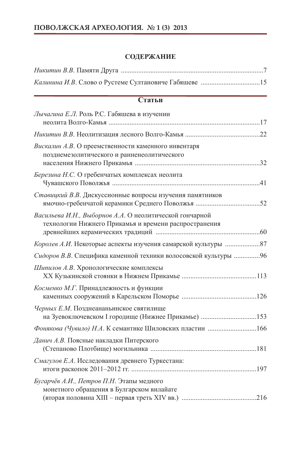# **СОДЕРЖАНИЕ**

# **Статьи**

| Лычагина Е.Л. Роль Р.С. Габяшева в изучении                                                                      |  |
|------------------------------------------------------------------------------------------------------------------|--|
|                                                                                                                  |  |
| Вискалин А.В. О преемственности каменного инвентаря<br>позднемезолитического и ранненеолитического               |  |
| Березина Н.С. О гребенчатых комплексах неолита                                                                   |  |
| Ставицкий В.В. Дискуссионные вопросы изучения памятников                                                         |  |
| Васильева И.Н., Выборнов А.А. О неолитической гончарной<br>технологии Нижнего Прикамья и времени распространения |  |
|                                                                                                                  |  |
| Сидоров В.В. Специфика каменной техники волосовской культуры  96                                                 |  |
| Шипилов А.В. Хронологические комплексы                                                                           |  |
| Косменко М.Г. Принадлежность и функции                                                                           |  |
| Черных Е.М. Позднеананьинское святилище                                                                          |  |
|                                                                                                                  |  |
| Данич А.В. Поясные накладки Питерского                                                                           |  |
| Смагулов Е.А. Исследования древнего Туркестана:                                                                  |  |
| Бугарчёв А.И., Петров П.Н. Этапы медного<br>монетного обращения в Булгарском вилайате                            |  |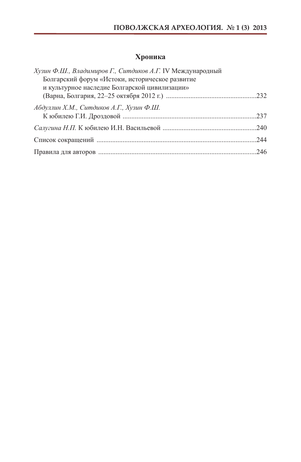# **Хроника**

| Хузин Ф.Ш., Владимиров Г., Ситдиков А.Г. IV Международный |  |
|-----------------------------------------------------------|--|
| Болгарский форум «Истоки, историческое развитие           |  |
| и культурное наследие Болгарской цивилизации»             |  |
|                                                           |  |
| Абдуллин Х.М., Ситдиков А.Г., Хузин Ф.Ш.                  |  |
|                                                           |  |
|                                                           |  |
|                                                           |  |
|                                                           |  |
|                                                           |  |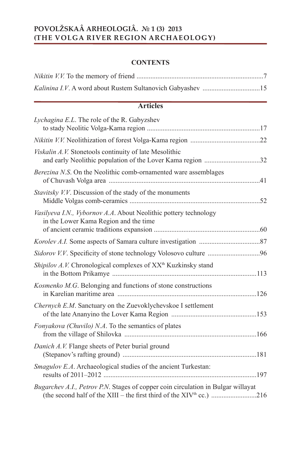# **POVOLŽSKAÂ ARHEOLOGIÂ. № 1 (3) 2013 (THE VOLGA RIVER REGION ARCHAEOLOGY)**

# **CONTENTS**

# **Articles**

| Lychagina E.L. The role of the R. Gabyzshev                                                                                                                          |  |
|----------------------------------------------------------------------------------------------------------------------------------------------------------------------|--|
|                                                                                                                                                                      |  |
| Viskalin A.V. Stonetools continuity of late Mesolithic<br>and early Neolithic population of the Lover Kama region 32                                                 |  |
| Berezina N.S. On the Neolithic comb-ornamented ware assemblages                                                                                                      |  |
| Stavitsky V.V. Discussion of the stady of the monuments                                                                                                              |  |
| Vasilyeva I.N., Vybornov A.A. About Neolithic pottery technology<br>in the Lower Kama Region and the time                                                            |  |
|                                                                                                                                                                      |  |
|                                                                                                                                                                      |  |
| Shipilov A.V. Chronological complexes of XX <sup>th</sup> Kuzkinsky stand                                                                                            |  |
| Kosmenko M.G. Belonging and functions of stone constructions                                                                                                         |  |
| <i>Chernych E.M.</i> Sanctuary on the Zuevoklychevskoe I settlement                                                                                                  |  |
| Fonyakova (Chuvilo) N.A. To the semantics of plates                                                                                                                  |  |
| Danich A.V. Flange sheets of Peter burial ground                                                                                                                     |  |
| <i>Smagulov E.A.</i> Archaeological studies of the ancient Turkestan:                                                                                                |  |
| Bugarchev A.I., Petrov P.N. Stages of copper coin circulation in Bulgar willayat<br>(the second half of the XIII – the first third of the XIV <sup>th</sup> cc.) 216 |  |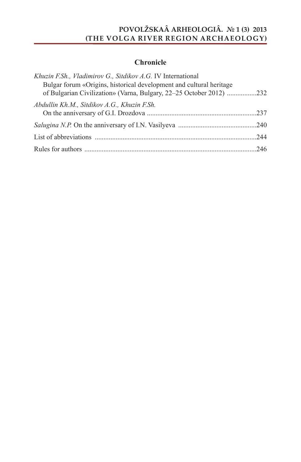# **POVOLŽSKAÂ ARHEOLOGIÂ. № 1 (3) 2013 (THE VOLGA RIVER REGION ARCHAEOLOGY)**

# **Chronicle**

| Khuzin F.Sh., Vladimirov G., Sitdikov A.G. IV International                                                                                |  |
|--------------------------------------------------------------------------------------------------------------------------------------------|--|
| Bulgar forum «Origins, historical development and cultural heritage<br>of Bulgarian Civilization» (Varna, Bulgary, 22-25 October 2012) 232 |  |
| Abdullin Kh.M., Sitdikov A.G., Khuzin F.Sh.                                                                                                |  |
|                                                                                                                                            |  |
|                                                                                                                                            |  |
|                                                                                                                                            |  |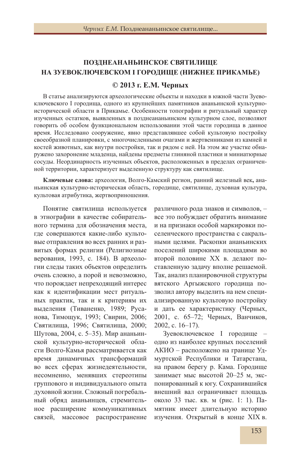# **ПОЗДНЕАНАНЬИНСКОЕ СВЯТИЛИЩЕ НА ЗУЕВОКЛЮЧЕВСКОМ I ГОРОДИЩЕ (НИЖНЕЕ ПРИКАМЬЕ)**

# **© 2013 г. Е.М. Черных**

В статье анализируются археологические объекты и находки в южной части Зуевоключевского I городища, одного из крупнейших памятников ананьинской культурноисторической области в Прикамье. Особенности топографии и ритуальный характер изученных остатков, выявленных в позднеананьинском культурном слое, позволяют говорить об особом функциональном использовании этой части городища в данное время. Исследовано сооружение, явно представлявшее собой культовую постройку своеобразной планировки, с многочисленными очагами и жертвенниками из камней и костей животных, как внутри постройки, так и рядом с ней. На этом же участке обнаружено захоронение младенца, найдены предметы глиняной пластики и миниатюрные сосуды. Неординарность изученных объектов, расположенных в пределах ограниченной территории, характеризует выделенную структуру как святилище.

**Ключевые слова:** археология, Волго-Камский регион, ранний железный век**,** ананьинская культурно-историческая область, городище, святилище, духовная культура, культовая атрибутика, жертвоприношения.

Понятие святилища используется в этнографии в качестве собирательного термина для обозначения места, где совершаются какие-либо культовые отправления во всех ранних и развитых формах религии (Религиозные верования, 1993, с. 184). В археологии следы таких объектов определить очень сложно, а порой и невозможно, что порождает непреходящий интерес как к идентификации мест ритуальных практик, так и к критериям их выделения (Тиваненко, 1989; Русанова, Тимощук, 1993; Свирин, 2006; Святилища, 1996; Святилища, 2000; Шутова, 2004, с. 5–35). Мир ананьинской культурно-исторической области Волго-Камья рассматривается как время динамичных трансформаций во всех сферах жизнедеятельности, несомненно, менявших стереотипы группового и индивидуального опыта духовной жизни. Сложный погребальный обряд ананьинцев, стремительное расширение коммуникативных связей, массовое распространение

различного рода знаков и символов, – все это побуждает обратить внимание и на признаки особой маркировки поселенческого пространства с сакральными целями. Раскопки ананьинских поселений широкими площадями во второй половине XX в. делают поставленную задачу вполне решаемой. Так, анализ планировочной структуры вятского Аргыжского городища позволил автору выделить на нем специализированную культовую постройку и дать ее характеристику (Черных, 2001, с. 65–72; Черных, Ванчиков, 2002, с. 16–17).

Зуевоключевское I городище – одно из наиболее крупных поселений АКИО – расположено на границе Удмуртской Республики и Татарстана, на правом берегу р. Кама. Городище занимает мыс высотой 20–25 м, экспонированный к югу. Сохранившийся внешний вал ограничивает площадь около 33 тыс. кв. м (рис. 1: 1). Памятник имеет длительную историю изучения. Открытый в конце XIX в.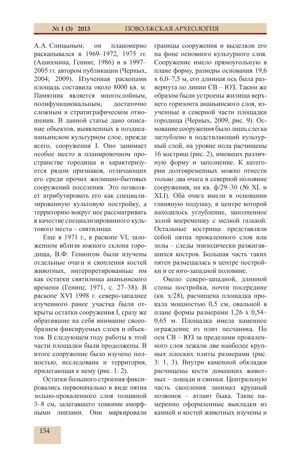А.А. Спицыным, он планомерно раскапывался в 1969–1972, 1975 гг. (Ашихмина, Генинг, 1986) и в 1997– 2005 гг. автором публикации (Черных, 2004; 2009). Изученная раскопами площадь составила около 8000 кв. м. Памятник является многослойным, полифункциональным, достаточно сложным в стратиграфическом отношении. В данной статье дано описание объектов, выявленных в позднеананьинском культурном слое, прежде всего, сооружения I. Оно занимает особое место в планировочном пространстве городища и характеризуется рядом признаков, отличающих его среди прочих жилищно-бытовых сооружений поселения. Это позволяет атрибутировать его как специализированную культовую постройку, а территорию вокруг нее рассматривать в качестве специализированного культового места – святилища.

Еще в 1971 г., в раскопе VI, заложенном вблизи южного склона городища, В.Ф. Генингом были изучены отдельные очаги и скопления костей животных, интерпретированные им как остатки святилища ананьинского времени (Генинг, 1971, с. 27–38). В раскопе XVI 1998 г. северо-западнее изученного ранее участка были открыты остатки сооружения I, сразу же обратившие на себя внимание своеобразием фиксируемых слоев и объектов. В следующем году работы в этой части площадки были продолжены. В итоге сооружение было изучено полностью, исследована и территория, прилегающая к нему (рис. 1: 2).

Остатки большого строения фиксировались первоначально в виде пятна зольно-прокаленного слоя толщиной 3–8 см, залегавшего тонкими аморфными линзами. Они маркировали

границы сооружения и выделяли его на фоне основного культурного слоя. Сооружение имело прямоугольную в плане форму, размеры основания 19,6 х 6,0–7,5 м, его длинная ось была развернута по линии СВ – ЮЗ. Таким же образом были устроены жилища верхнего горизонта ананьинского слоя, изученные в северной части площадки городища (Черных, 2009, рис. 9). Основание сооружения было лишь слегка заглублено в подстилающий культурный слой, на уровне пола расчищены 16 кострищ (рис. 2), имевших различную форму и заполнение. К категории долговременных можно отнести только два очага в северной половине сооружения, на кв. ф/29–30 (№ XL и XLI). Оба очага имели в основании глиняную подушку, в центре которой находилось углубление, заполненное золой вперемешку с мелкой галькой. Остальные кострища представляли собой пятна прокаленного слоя или золы – следы эпизодически разжигавшихся костров. Большая часть таких пятен размещалась в центре постройки и ее юго-западной половине.

Около северо-западной, длинной стены постройки, почти посередине (кв. х/28), расчищена площадка прокала мощностью 0,5 см, овальной в плане формы размерами 1,26 х 0,54– 0,65 м. Площадка имела каменное ограждение из плит песчаника. По оси СВ – ЮЗ за пределами прокаленного слоя лежали две наиболее крупных плоских плиты размерами (рис. 3: 1, 3). Внутри каменной обкладки расчищены кости домашних животных – лошади и свиньи. Центральную часть скопления занимал крупный позвонок – атлант быка. Такие намеренно оформленные выкладки из камней и костей животных изучены и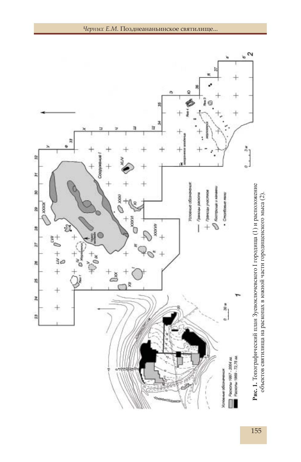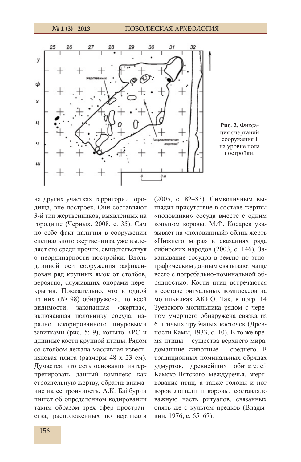

**Рис. 2.** Фиксация очертаний сооружения I на уровне пола постройки.

на других участках территории городища, вне построек. Они составляют 3-й тип жертвенников, выявленных на городище (Черных, 2008, с. 35). Сам по себе факт наличия в сооружении специального жертвенника уже выделяет его среди прочих, свидетельствуя о неординарности постройки. Вдоль длинной оси сооружения зафиксирован ряд крупных ямок от столбов, вероятно, служивших опорами перекрытия. Показательно, что в одной из них (№ 98) обнаружена, по всей видимости, закопанная «жертва», включавшая половинку сосуда, нарядно декорированного шнуровыми завитками (рис. 5: 9), копыто КРС и длинные кости крупной птицы. Рядом со столбом лежала массивная известняковая плита (размеры 48 х 23 см). Думается, что есть основания интерпретировать данный комплекс как строительную жертву, обратив внимание на ее троичность. А.К. Байбурин пишет об определенном кодировании таким образом трех сфер пространства, расположенных по вертикали

(2005, с. 82–83). Символичным выглядит присутствие в составе жертвы «половинки» сосуда вместе с одним копытом коровы. М.Ф. Косарев указывает на «половинный» облик жертв «Нижнего мира» в сказаниях ряда сибирских народов (2003, с. 146). Закапывание сосудов в землю по этнографическим данным связывают чаще всего с погребально-поминальной обрядностью. Кости птиц встречаются в составе ритуальных комплексов на могильниках АКИО. Так, в погр. 14 Зуевского могильника рядом с черепом умершего обнаружена связка из 6 птичьих трубчатых косточек (Древности Камы, 1933, с. 10). В то же время птицы – существа верхнего мира, домашние животные – среднего. В традиционных поминальных обрядах удмуртов, древнейших обитателей Камско-Вятского междуречья, жертвование птиц, а также головы и ног коров лошади и коровы, составляло важную часть ритуалов, связанных опять же с культом предков (Владыкин, 1976, с. 65–67).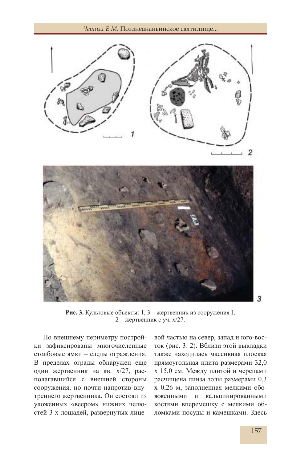



**Рис. 3.** Культовые объекты: 1, 3 – жертвенник из сооружения I; 2 – жертвенник с уч. х/27.

По внешнему периметру постройки зафиксированы многочисленные столбовые ямки – следы ограждения. В пределах ограды обнаружен еще один жертвенник на кв. х/27, располагавшийся с внешней стороны сооружения, но почти напротив внутреннего жертвенника. Он состоял из уложенных «веером» нижних челюстей 3-х лошадей, развернутых лице-

вой частью на север, запад и юго-восток (рис. 3: 2). Вблизи этой выкладки также находилась массивная плоская прямоугольная плита размерами 32,0 х 15,0 см. Между плитой и черепами расчищена линза золы размерами 0,3 х 0,26 м, заполненная мелкими обожженными и кальцинированными костями вперемешку с мелкими обломками посуды и камешками. Здесь

3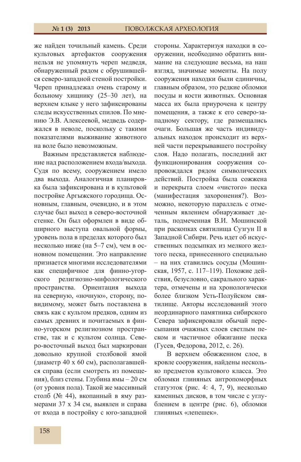же найден точильный камень. Среди культовых артефактов сооружения нельзя не упомянуть череп медведя, обнаруженный рядом с обрушившейся северо-западной стеной постройки. Череп принадлежал очень старому и больному хищнику (25–30 лет), на верхнем клыке у него зафиксированы следы искусственных спилов. По мнению Э.В. Алексеевой, медведь содержался в неволе, поскольку с такими показателями выживание животного на воле было невозможным.

Важным представляется наблюдение над расположением входа/выхода. Судя по всему, сооружением имело два выхода. Аналогичная планировка была зафиксирована и в культовой постройке Аргыжского городища. Основным, главным, очевидно, и в этом случае был выход в северо-восточной стенке. Он был оформлен в виде обширного выступа овальной формы, уровень пола в пределах которого был несколько ниже (на 5–7 см), чем в основном помещении. Это направление признается многими исследователями как специфичное для финно-угорского религиозно-мифологического пространства. Ориентация выхода на северную, «ночную», сторону, повидимому, может быть поставлена в связь как с культом предков, одним из самых древних и почитаемых в финно-угорском религиозном пространстве, так и с культом солнца. Северо-восточный выход был маркирован довольно крупной столбовой ямой (диаметр 40 х 60 см), располагавшейся справа (если смотреть из помещения), близ стены. Глубина ямы – 20 см (от уровня пола). Такой же массивный столб (№ 44), вкопанный в яму размерами 37 х 34 см, выявлен и справа от входа в постройку с юго-западной

стороны. Характеризуя находки в сооружении, необходимо обратить внимание на следующие весьма, на наш взгляд, значимые моменты. На полу сооружения находки были единичны, главным образом, это редкие обломки посуды и кости животных. Основная масса их была приурочена к центру помещения, а также к его северо-западному сектору, где размещались очаги. Большая же часть индивидуальных находок происходит из верхней части перекрывавшего постройку слоя. Надо полагать, последний акт функционирования сооружения сопровождался рядом символических действий. Постройка была сожжена и перекрыта слоем «чистого» песка (манифестация захоронения?). Возможно, некоторую параллель с отмеченным явлением обнаруживает деталь, подмеченная В.И. Мошинской при раскопках святилища Сузгун II в Западной Сибири. Речь идет об искусственных подсыпках из мелкого желтого песка, принесенного специально – на них ставились сосуды (Мошинская, 1957, с. 117–119). Похожие действия, безусловно, сакрального характера, отмечены и на хронологически более близком Усть-Полуйском святилище. Авторы исследований этого неординарного памятника сибирского Севера зафиксировали обычай пересыпания очажных слоев светлым песком и частичное обжигание песка (Гусев, Федорова, 2012, с. 26).

В верхнем обожженном слое, в кровле сооружения, найдены несколько предметов культового класса. Это обломки глиняных антропоморфных статуэток (рис. 4: 4, 7, 9), несколько каменных дисков, в том числе с углублением в центре (рис. 6), обломки глиняных «лепешек».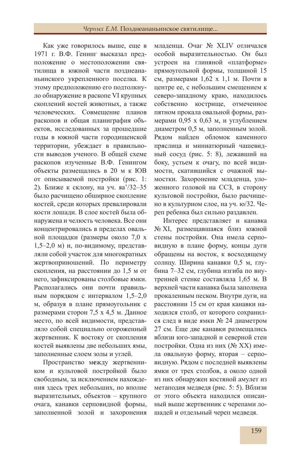# *Черных Е.М.* Позднеананьинское святилище...

Как уже говорилось выше, еще в 1971 г. В.Ф. Генинг высказал предположение о местоположении святилища в южной части позднеананьинского укрепленного поселка. К этому предположению его подтолкнуло обнаружение в раскопе VI крупных скоплений костей животных, а также человеческих. Совмещение планов раскопов и общая планиграфия объектов, исследованных за прошедшие годы в южной части городищенской территории, убеждает в правильности выводов ученого. В общей схеме раскопов изученные В.Ф. Генингом объекты размещались в 20 м к ЮВ от описываемой постройки (рис. 1: 2). Ближе к склону, на уч. яа'/32–35 было расчищено обширное скопление костей, среди которых превалировали кости лошади. В слое костей была обнаружена и челюсть человека. Все они концентрировались в пределах овальной площадки (размеры около 7,0 х 1,5–2,0 м) и, по-видимому, представляли собой участок для многократных жертвоприношений. По периметру скопления, на расстоянии до 1,5 м от него, зафиксированы столбовые ямки. Располагались они почти правильным порядком с интервалом 1,5–2,0 м, образуя в плане прямоугольник с размерами сторон 7,5 х 4,5 м. Данное место, по всей видимости, представляло собой специально огороженный жертвенник. К востоку от скопления костей выявлены две небольших ямы, заполненные слоем золы и углей.

Пространство м**е**жду жертвенником и культовой постройкой было свободным, за исключением нахождения здесь трех небольших, но вполне выразительных, объектов – крупного очага, канавки серповидной формы, заполненной золой и захоронения

младенца. Очаг № XLIV отличался особой выразительностью. Он был устроен на глиняной «платформе» прямоугольной формы, толщиной 15 см, размерами 1,62 х 1,1 м. Почти в центре ее, с небольшим смещением к северо-западному краю, находилось собственно кострище, отмеченное пятном прокала овальной формы, размерами 0,95 х 0,63 м, и углублением диаметром 0,5 м, заполненным золой. Рядом найден обломок каменного пряслица и миниатюрный чашевидный сосуд (рис. 5: 8), лежавший на боку, устьем к очагу, по всей видимости, скатившийся с очажной вымостки. Захоронение младенца, уложенного головой на ССЗ, в сторону культовой постройки, было расчищено в культурном слое, на уч. ю/32. Череп ребенка был сильно раздавлен.

Интерес представляет и канавка № XI, размещавшаяся близ южной стены постройки. Она имела серповидную в плане форму, концы дуги обращены на восток, к восходящему солнцу. Ширина канавки 0,5 м, глубина 7–32 см, глубина изгиба по внутренней стенке составляла 1,65 м. В верхней части канавка была заполнена прокаленным песком. Внутри дуги, на расстоянии 15 см от края канавки находился столб, от которого сохранился след в виде ямки № 24 диаметром 27 см. Еще две канавки размещались вблизи юго-западной и северной стен постройки. Одна из них (№ XX) имела овальную форму, вторая – серповидную. Рядом с последней выявлены ямки от трех столбов, а около одной из них обнаружен костяной амулет из метаподия медведя (рис. 5: 5). Вблизи от этого объекта находился описанный выше жертвенник с черепами лошадей и отдельный череп медведя.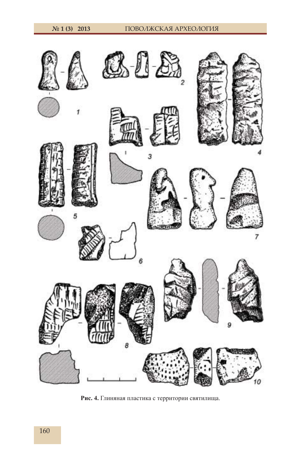

**Рис. 4.** Глиняная пластика с территории святилища.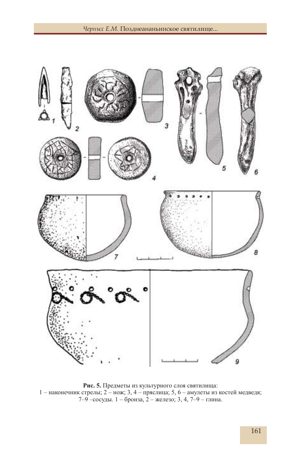

**Рис. 5.** Предметы из культурного слоя святилища: 1 – наконечник стрелы; 2 – нож; 3, 4 – пряслица; 5, 6 – амулеты из костей медведя; 7–9 –сосуды. 1 – бронза, 2 – железо; 3, 4, 7–9 – глина.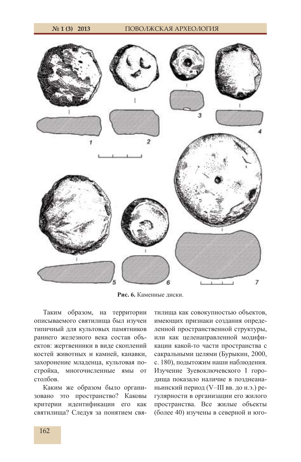



**Рис. 6.** Каменные диски.

Таким образом, на территории описываемого святилища был изучен типичный для культовых памятников раннего железного века состав объектов: жертвенники в виде скоплений костей животных и камней, канавки, захоронение младенца, культовая постройка, многочисленные ямы от столбов.

Каким же образом было организовано это пространство? Каковы критерии идентификации его как святилища? Следуя за понятием святилища как совокупностью объектов, имеющих признаки создания определенной пространственной структуры, или как целенаправленной модификации какой-то части пространства с сакральными целями (Бурыкин, 2000, с. 180), подытожим наши наблюдения. Изучение Зуевоключевского I городища показало наличие в позднеананьинский период (V–III вв. до н.э.) регулярности в организации его жилого пространства. Все жилые объекты (более 40) изучены в северной и юго-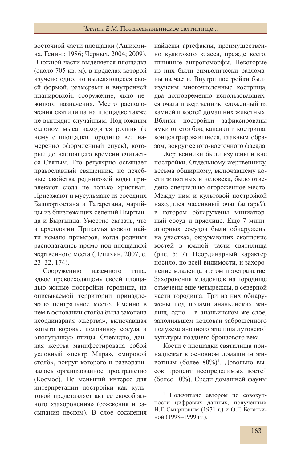восточной части площадки (Ашихмина, Генинг, 1986; Черных, 2004; 2009). В южной части выделяется площадка (около 705 кв. м), в пределах которой изучено одно, но выделяющееся своей формой, размерами и внутренней планировкой, сооружение, явно нежилого назначения. Место расположения святилища на площадке также не выглядит случайным. Под южным склоном мыса находится родник (к нему с площадки городища вел намеренно оформленный спуск), который до настоящего времени считается Святым. Его регулярно освящает православный священник, но лечебные свойства родниковой воды привлекают сюда не только христиан. Приезжают и мусульмане из соседних Башкортостана и Татарстана, марийцы из близлежащих селений Ныргында и Быргында. Уместно сказать, что в археологии Прикамья можно найти немало примеров, когда родники располагались прямо под площадкой жертвенного места (Лепихин, 2007, с. 23–32, 174).

Сооружению наземного типа, вдвое превосходящему своей площадью жилые постройки городища, на описываемой территории принадлежало центральное место. Именно в нем в основании столба была закопана неординарная «жертва», включавшая копыто коровы, половинку сосуда и «полутушку» птицы. Очевидно, данная жертва манифестировала собой условный «центр Мира», «мировой столб», вокруг которого и разворачивалось организованное пространство (Космос). Не меньший интерес для интерпретации постройки как культовой представляет акт ее своеобразного «захоронения» (сожжения и засыпания песком). В слое сожжения

найдены артефакты, преимущественно культового класса, прежде всего, глиняные антропоморфы. Некоторые из них были символически разломаны на части. Внутри постройки были изучены многочисленные кострища, два долговременно использовавшихся очага и жертвенник, сложенный из камней и костей домашних животных. Вблизи постройки зафиксированы ямки от столбов, канавки и кострища, концентрировавшиеся, главным образом, вокруг ее юго-восточного фасада.

Жертвенники были изучены и вне постройки. Отдельному жертвеннику, весьма обширному, включавшему кости животных и человека, было отведено специально огороженное место. Между ним и культовой постройкой находился массивный очаг (алтарь?), в котором обнаружены миниатюрный сосуд и пряслице. Еще 7 миниатюрных сосудов были обнаружены на участках, окружающих скопление костей в южной части святилища (рис. 5: 7). Неординарный характер носило, по всей видимости, и захоронение младенца в этом пространстве. Захоронения младенцев на городище отмечены еще четырежды, в северной части городища. Три из них обнаружены под полами ананьинских жилищ, одно – в ананьинском же слое, заполнявшем котлован заброшенного полуземляночного жилища луговской культуры позднего бронзового века.

Кости с площадки святилища принадлежат в основном домашним животным (более 80%)1 . Довольно высок процент неопределимых костей (более 10%). Среди домашней фауны

<sup>1</sup> Подсчитано автором по совокупности цифровых данных, полученных Н.Г. Смирновым (1971 г.) и О.Г. Богаткиной (1998–1999 гг.).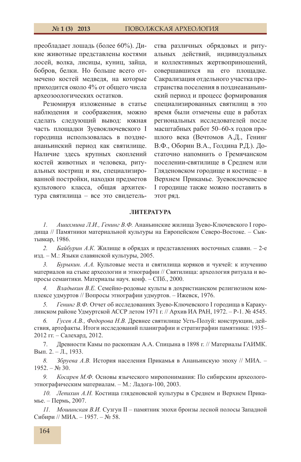преобладает лошадь (более 60%). Дикие животные представлены костями лосей, волка, лисицы, куниц, зайца, бобров, белки. Но больше всего отмечено костей медведя, на которые приходится около 4% от общего числа археозоологических остатков.

Резюмируя изложенные в статье наблюдения и соображения, можно сделать следующий вывод: южная часть площадки Зуевоключевского I городища использовалась в позднеананьинский период как святилище. Наличие здесь крупных скоплений костей животных и человека, ритуальных кострищ и ям, специализированной постройки, находки предметов культового класса, общая архитектура святилища – все это свидетель-

ства различных обрядовых и ритуальных действий, индивидуальных и коллективных жертвоприношений, совершавшихся на его площадке. Сакрализация отдельного участка пространства поселения в позднеананьинский период и процесс формирования специализированных святилищ в это время были отмечены еще в работах региональных исследователей после масштабных работ 50–60-х годов прошлого века (Вечтомов А.Д., Генинг В.Ф., Оборин В.А., Голдина Р.Д.). Достаточно напомнить о Гремячанском поселении-святилище в Среднем или Гляденовском городище и костище – в Верхнем Прикамье. Зуевоключевское I городище также можно поставить в этот ряд.

## **ЛИТЕРАТУРА**

*1. Ашихмина Л.И., Генинг В.Ф.* Ананьинские жилища Зуево-Ключевского I городища // Памятники материальной культуры на Европейском Северо-Востоке. – Сыктывкар, 1986.

*2. Байбурин А.К.* Жилище в обрядах и представлениях восточных славян. – 2-е изд. – М.: Языки славянской культуры, 2005.

*3. Бурыкин. А.А.* Культовые места и святилища коряков и чукчей: к изучению материалов на стыке археологии и этнографии // Святилища: археология ритуала и вопросы семантики. Материалы науч. конф. – СПб., 2000.

*4. Владыкин В.Е.* Семейно-родовые культы в дохристианском религиозном комплексе удмуртов // Вопросы этнографии удмуртов. – Ижевск, 1976.

*5. Генинг В.Ф.* Отчет об исследованиях Зуево-Ключевского I городища в Каракулинском районе Удмуртской АССР летом 1971 г. // Архив ИА РАН, 1972. – Р-1. № 4545.

*6. Гусев А.В., Федорова Н.В.* Древнее святилище Усть-Полуй: конструкции, действия, артефакты. Итоги исследований планиграфии и стратиграфии памятника: 1935– 2012 гг. – Салехард, 2012.

7. Древности Камы по раскопкам А.А. Спицына в 1898 г. // Материалы ГАИМК. Вып. 2. – Л., 1933.

*8. Збруева А.В.* История населения Прикамья в Ананьинскую эпоху // МИА. –  $1952. - N<sub>2</sub> 30.$ 

*9. Косарев М.Ф.* Основы языческого миропонимания: По сибирским археологоэтнографическим материалам. – М.: Ладога-100, 2003.

*10. Лепихин А.Н.* Костища гляденовской культуры в Среднем и Верхнем Прикамье. – Пермь, 2007.

*11. Мошинская В.И.* Сузгун II – памятник эпохи бронзы лесной полосы Западной Сибири // МИА. – 1957. – № 58.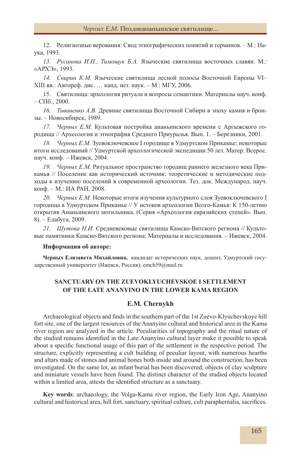12. Религиозные верования: Свод этнографических понятий и терминов. – М.: Наука, 1993.

*13. Русанова И.П., Тимощук Б.А.* Языческие святилища восточных славян. М.: «АРХЭ», 1993.

*14. Свирин К.М.* Языческие святилища лесной полосы Восточной Европы VI– XIII вв.: Автореф. дис. … канд. ист. наук. – М.: МГУ, 2006.

15. Святилища: археология ритуала и вопросы семантики. Материалы науч. конф. – СПб., 2000.

*16. Тиваненко А.В.* Древние святилища Восточной Сибири в эпоху камня и бронзы. – Новосибирск, 1989.

*17. Черных Е.М.* Культовая постройка ананьинского времени с Аргыжского городища // Археология и этнография Среднего Приуралья. Вып. 1. – Березники, 2001.

*18. Черных Е.М.* Зуевоключевское I городище в Удмуртском Прикамье: некоторые итоги исследований // Удмуртской археологической экспедиции 50 лет. Матер. Всерос. науч. конф. – Ижевск, 2004.

*19. Черных Е.М.* Ритуальное пространство городищ раннего железного века Прикамья // Поселение как исторический источник: теоретические и методические подходы к изучению поселений в современной археологии. Тез. док. Международ. науч. конф. – М.: ИА РАН, 2008.

*20. Черных Е.М.* Некоторые итоги изучения культурного слоя Зуевоключевского I городища в Удмуртском Прикамье // У истоков археологии Волго-Камья: К 150-летию открытия Ананьинского могильника. (Серия «Археология евразийских степей». Вып. 8). – Елабуга, 2009.

*21. Шутова Н.И.* Средневековые святилища Камско-Вятского региона // Культовые памятники Камско-Вятского региона: Материалы и исследования. – Ижевск, 2004.

#### **Информация об авторе:**

**Черных Елизавета Михайловна,** кандидат исторических наук, доцент, Удмуртский государственный университет (Ижевск, Россия); emch59@mail.ru

# **SANCTUARY ON THE ZUEVOKLYUCHEVSKOE I SETTLEMENT OF THE LATE ANANYINO IN THE LOWER KAMA REGION**

## **E.M. Chernykh**

Archaeological objects and finds in the southern part of the 1st Zuevo-Klyuchevskoye hill fort site, one of the largest resources of the Ananyino cultural and historical area in the Kama river region are analyzed in the article. Peculiarities of topography and the ritual nature of the studied remains identified in the Late Ananyino cultural layer make it possible to speak about a specific functional usage of this part of the settlement in the respective period. The structure, explicitly representing a cult building of peculiar layout, with numerous hearths and altars made of stones and animal bones both inside and around the construction, has been investigated. On the same lot, an infant burial has been discovered; objects of clay sculpture and miniature vessels have been found. The distinct character of the studied objects located within a limited area, attests the identified structure as a sanctuary.

**Key words**: archaeology, the Volga-Kama river region, the Early Iron Age, Ananyino cultural and historical area, hill fort, sanctuary, spiritual culture, cult paraphernalia, sacrifices.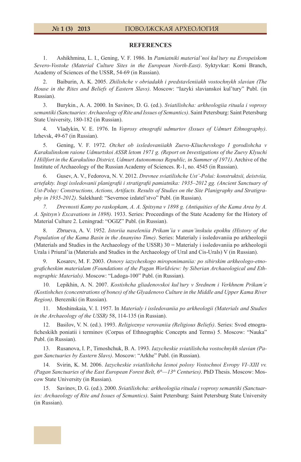#### **№ 1 (3) 2013** ПОВОЛЖСКАЯ АРХЕОЛОГИЯ

### **REFERENCES**

1. Ashikhmina, L. I., Gening, V. F. 1986. In *Pamiatniki material'noi kul'tury na Evropeiskom Severo-Vostoke (Material Culture Sites in the European North-East)*. Syktyvkar: Komi Branch, Academy of Sciences of the USSR, 54-69 (in Russian).

2. Baiburin, A. K. 2005. *Zhilishche v obriadakh i predstavleniiakh vostochnykh slavian (The House in the Rites and Beliefs of Eastern Slavs)*. Moscow: "Iazyki slavianskoi kul'tury" Publ. (in Russian).

3. Burykin., A. A. 2000. In Savinov, D. G. (ed.). *Sviatilishcha: arkheologiia rituala i voprosy semantiki (Sanctuaries: Archaeology of Rite and Issues of Semantics)*. Saint Petersburg: Saint Petersburg State University, 180-182 (in Russian).

4. Vladykin, V. E. 1976. In *Voprosy etnografi i udmurtov (Issues of Udmurt Ethnography)*. Izhevsk, 49-67 (in Russian).

5. Gening, V. F. 1972. *Otchet ob issledovaniiakh Zuevo-Kliuchevskogo I gorodishcha v Karakulinskom raione Udmurtskoi ASSR letom 1971 g. (Report on Investigations of the Zuevy Klyuchi I Hillfort in the Karakulino District, Udmurt Autonomous Republic, in Summer of 1971)*. Archive of the Institute of Archaeology of the Russian Academy of Sciences. R-1, no. 4545 (in Russian).

6. Gusev, A. V., Fedorova, N. V. 2012. *Drevnee sviatilishche Ust'-Polui: konstruktsii, deistviia, artefakty. Itogi issledovanii planigrafi i i stratigrafi i pamiatnika: 1935–2012 gg. (Ancient Sanctuary of Ust-Poluy: Constructions, Actions, Artifacts. Results of Studies on the Site Planigraphy and Stratigraphy in 1935-2012)*. Salekhard: "Severnoe izdatel'stvo" Publ. (in Russian).

*7. Drevnosti Kamy po raskopkam, A. A. Spitsyna v 1898 g. (Antiquities of the Kama Area by A. A. Spitsyn's Excavations in 1898).* 1933. Series: Proceedings of the State Academy for the History of Material Culture 2. Leningrad: "OGIZ" Publ. (in Russian).

8. Zbrueva, A. V. 1952. *Istoriia naseleniia Prikam'ia v anan'inskuiu epokhu (History of the Population of the Kama Basin in the Ananyino Time)*. Series: Materialy i issledovaniia po arkheologii (Materials and Studies in the Archaeology of the USSR) 30 = Materialy i issledovaniia po arkheologii Urala i Priural'ia (Materials and Studies in the Archaeology of Ural and Cis-Urals) V (in Russian).

9. Kosarev, M. F. 2003. *Osnovy iazycheskogo miroponimaniia: po sibirskim arkheologo-etnografi cheskim materialam (Foundations of the Pagan Worldview: by Siberian Archaeological and Ethnographic Materials)*. Moscow: "Ladoga-100" Publ. (in Russian).

10. Lepikhin, A. N. 2007. *Kostishcha gliadenovskoi kul'tury v Srednem i Verkhnem Prikam'e (Kostishches (concentrations of bones) of the Glyadenovo Culture in the Middle and Upper Kama River Region)*. Berezniki (in Russian).

11. Moshinskaia, V. I. 1957. In *Materialy i issledovaniia po arkheologii (Materials and Studies in the Archaeology of the USSR)* 58, 114-135 (in Russian).

12. Basilov, V. N. (ed.). 1993. *Religioznye verovaniia (Religious Beliefs)*. Series: Svod etnograficheskikh poniatii i terminov (Corpus of Ethnographic Concepts and Terms) 5. Moscow: "Nauka" Publ. (in Russian).

13. Rusanova, I. P., Timoshchuk, B. A. 1993. *Iazycheskie sviatilishcha vostochnykh slavian (Pagan Sanctuaries by Eastern Slavs)*. Moscow: "Arkhe" Publ. (in Russian).

14. Svirin, K. M. 2006. *Iazycheskie sviatilishcha lesnoi polosy Vostochnoi Evropy VI–XIII vv. (Pagan Sanctuaries of the East European Forest Belt, 6th—13th Centuries)*. PhD Thesis. Moscow: Moscow State University (in Russian).

15. Savinov, D. G. (ed.). 2000. *Sviatilishcha: arkheologiia rituala i voprosy semantiki (Sanctuaries: Archaeology of Rite and Issues of Semantics)*. Saint Petersburg: Saint Petersburg State University (in Russian).